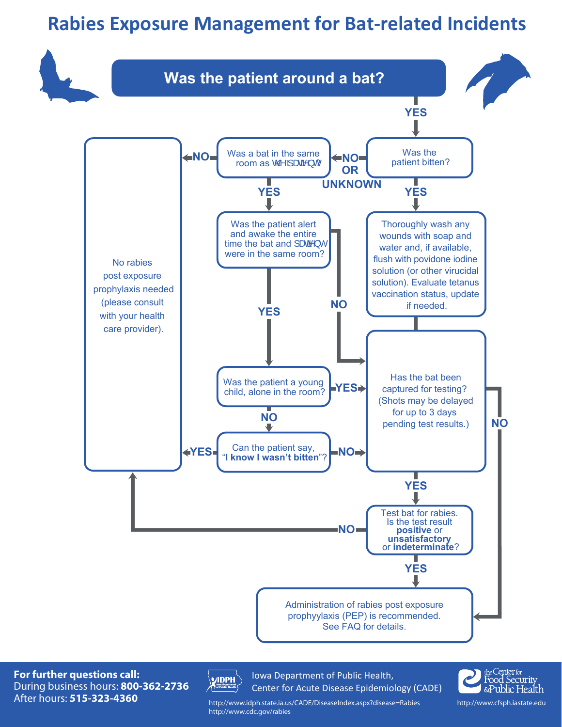# **Rabies Exposure Management for Bat-related Incidents**



**For further questions call:** During business hours: **800-362-2736** After hours: **515-323-4360**



Iowa Department of Public Health, Center for Acute Disease Epidemiology (CADE)



http://www.idph.state.ia.us/CADE/DiseaseIndex.aspx?disease=Rabies http://www.cdc.gov/rabies